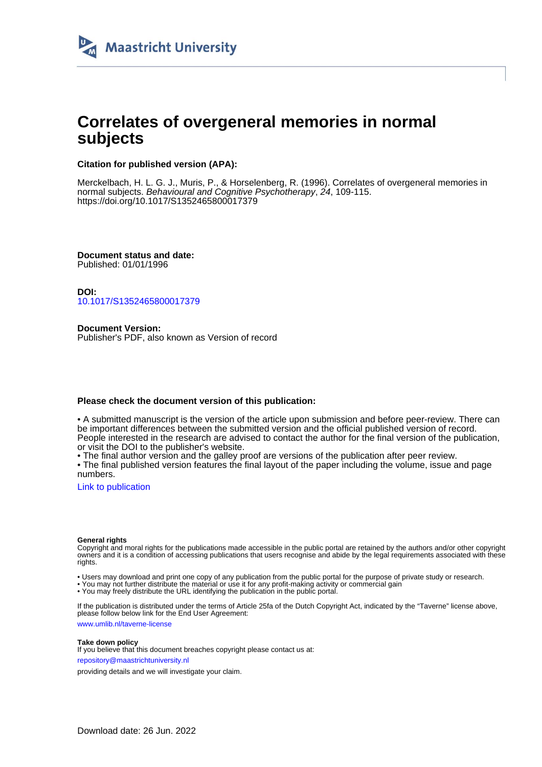

# **Correlates of overgeneral memories in normal subjects**

#### **Citation for published version (APA):**

Merckelbach, H. L. G. J., Muris, P., & Horselenberg, R. (1996). Correlates of overgeneral memories in normal subjects. Behavioural and Cognitive Psychotherapy, 24, 109-115. <https://doi.org/10.1017/S1352465800017379>

**Document status and date:** Published: 01/01/1996

**DOI:** [10.1017/S1352465800017379](https://doi.org/10.1017/S1352465800017379)

**Document Version:** Publisher's PDF, also known as Version of record

#### **Please check the document version of this publication:**

• A submitted manuscript is the version of the article upon submission and before peer-review. There can be important differences between the submitted version and the official published version of record. People interested in the research are advised to contact the author for the final version of the publication, or visit the DOI to the publisher's website.

• The final author version and the galley proof are versions of the publication after peer review.

• The final published version features the final layout of the paper including the volume, issue and page numbers.

[Link to publication](https://cris.maastrichtuniversity.nl/en/publications/b7962d44-bc15-4863-b4fd-15f4c7c9a31f)

#### **General rights**

Copyright and moral rights for the publications made accessible in the public portal are retained by the authors and/or other copyright owners and it is a condition of accessing publications that users recognise and abide by the legal requirements associated with these rights.

• Users may download and print one copy of any publication from the public portal for the purpose of private study or research.

• You may not further distribute the material or use it for any profit-making activity or commercial gain

• You may freely distribute the URL identifying the publication in the public portal.

If the publication is distributed under the terms of Article 25fa of the Dutch Copyright Act, indicated by the "Taverne" license above, please follow below link for the End User Agreement:

www.umlib.nl/taverne-license

#### **Take down policy**

If you believe that this document breaches copyright please contact us at: repository@maastrichtuniversity.nl

providing details and we will investigate your claim.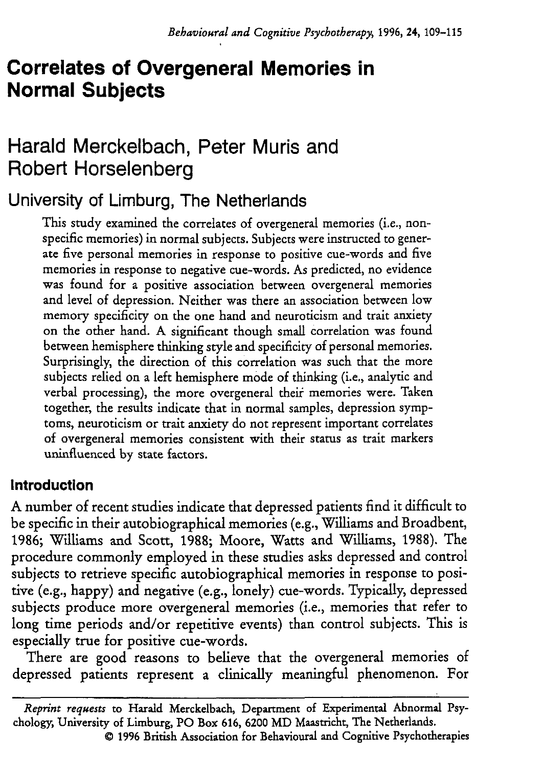# **Correlates of Overgeneral Memories in Normal Subjects**

# Harald Merckelbach, Peter Muris and **Robert Horselenberg**

# University of Limburg, The Netherlands

This study examined the correlates of overgeneral memories (i.e., nonspecific memories) in normal subjects. Subjects were instructed to generate five personal memories in response to positive cue-words and five memories in response to negative cue-words. As predicted, no evidence was found for a positive association between overgeneral memories and level of depression. Neither was there an association between low memory specificity on the one hand and neuroticism and trait anxiety on the other hand. A significant though small correlation was found between hemisphere thinking style and specificity of personal memories. Surprisingly, the direction of this correlation was such that the more subjects relied on a left hemisphere mode of thinking (i.e., analytic and verbal processing), the more overgeneral their memories were. Taken together, the results indicate that in normal samples, depression symptoms, neuroticism or trait anxiety do not represent important correlates of overgeneral memories consistent with their status as trait markers uninfluenced by state factors.

## Introduction

A number of recent studies indicate that depressed patients find it difficult to be specific in their autobiographical memories (e.g., Williams and Broadbent, 1986; Williams and Scott, 1988; Moore, Watts and Williams, 1988). The procedure commonly employed in these studies asks depressed and control subjects to retrieve specific autobiographical memories in response to positive (e.g., happy) and negative (e.g., lonely) cue-words. Typically, depressed subjects produce more overgeneral memories (i.e., memories that refer to long time periods and/or repetitive events) than control subjects. This is especially true for positive cue-words.

There are good reasons to believe that the overgeneral memories of depressed patients represent a clinically meaningful phenomenon. For

© 1996 British Association for Behavioural and Cognitive Psychotherapies

Reprint requests to Harald Merckelbach, Department of Experimental Abnormal Psychology, University of Limburg, PO Box 616, 6200 MD Maastricht, The Netherlands.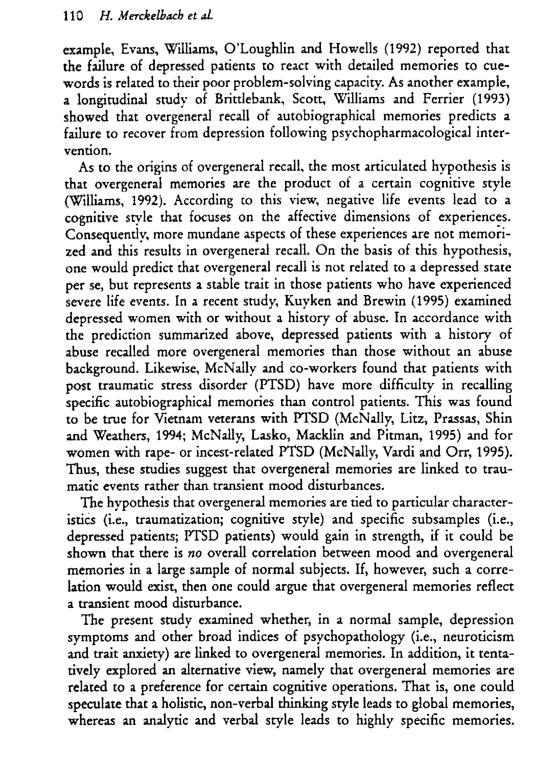example, Evans, Williams, O'Loughlin and Howells (1992) reported that the failure of depressed patients to react with detailed memories to cuewords is related to their poor problem-solving capacity. As another example, a longitudinal study of Brittlebank, Scott, Williams and Ferrier (1993) showed that overgeneral recall of autobiographical memories predicts a failure to recover from depression following psychopharmacological intervention

As to the origins of overgeneral recall, the most articulated hypothesis is that overgeneral memories are the product of a certain cognitive style (Williams, 1992). According to this view, negative life events lead to a cognitive style that focuses on the affective dimensions of experiences. Consequently, more mundane aspects of these experiences are not memorized and this results in overgeneral recall. On the basis of this hypothesis, one would predict that overgeneral recall is not related to a depressed state per se, but represents a stable trait in those patients who have experienced severe life events. In a recent study, Kuyken and Brewin (1995) examined depressed women with or without a history of abuse. In accordance with the prediction summarized above, depressed patients with a history of abuse recalled more overgeneral memories than those without an abuse background. Likewise, McNally and co-workers found that patients with post traumatic stress disorder (PTSD) have more difficulty in recalling specific autobiographical memories than control patients. This was found to be true for Vietnam veterans with PTSD (McNally, Litz, Prassas, Shin and Weathers, 1994; McNally, Lasko, Macklin and Pitman, 1995) and for women with rape- or incest-related PTSD (McNally, Vardi and Orr, 1995). Thus, these studies suggest that overgeneral memories are linked to traumatic events rather than transient mood disturbances.

The hypothesis that overgeneral memories are tied to particular characteristics (i.e., traumatization; cognitive style) and specific subsamples (i.e., depressed patients; PTSD patients) would gain in strength, if it could be shown that there is no overall correlation between mood and overgeneral memories in a large sample of normal subjects. If, however, such a correlation would exist, then one could argue that overgeneral memories reflect a transient mood disturbance.

The present study examined whether, in a normal sample, depression symptoms and other broad indices of psychopathology (i.e., neuroticism and trait anxiety) are linked to overgeneral memories. In addition, it tentatively explored an alternative view, namely that overgeneral memories are related to a preference for certain cognitive operations. That is, one could speculate that a holistic, non-verbal thinking style leads to global memories, whereas an analytic and verbal style leads to highly specific memories.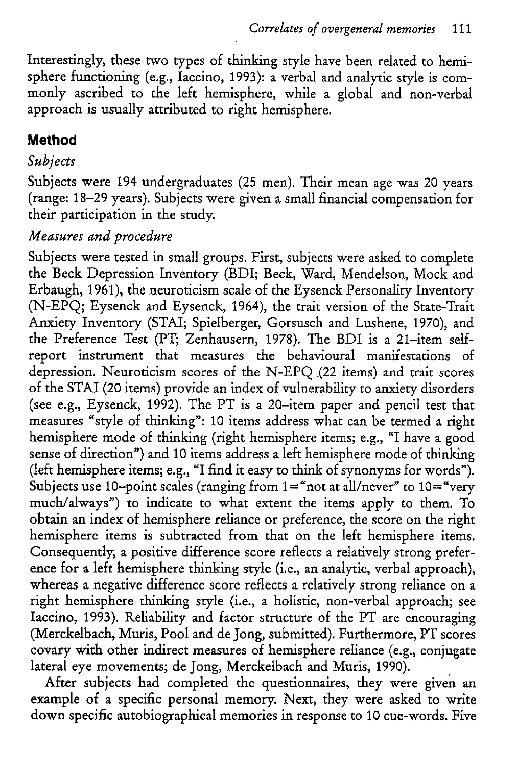Interestingly, these two types of thinking style have been related to hemisphere functioning (e.g., Iaccino, 1993): a verbal and analytic style is commonly ascribed to the left hemisphere, while a global and non-verbal approach is usually attributed to right hemisphere.

## Method

### Subjects

Subjects were 194 undergraduates (25 men). Their mean age was 20 years (range: 18–29 years). Subjects were given a small financial compensation for their participation in the study.

### Measures and procedure

Subjects were tested in small groups. First, subjects were asked to complete the Beck Depression Inventory (BDI; Beck, Ward, Mendelson, Mock and Erbaugh, 1961), the neuroticism scale of the Eysenck Personality Inventory (N-EPQ; Eysenck and Eysenck, 1964), the trait version of the State-Trait Anxiety Inventory (STAI; Spielberger, Gorsusch and Lushene, 1970), and the Preference Test (PT; Zenhausern, 1978). The BDI is a 21-item selfreport instrument that measures the behavioural manifestations of depression. Neuroticism scores of the N-EPQ (22 items) and trait scores of the STAI (20 items) provide an index of vulnerability to anxiety disorders (see e.g., Eysenck, 1992). The PT is a 20-item paper and pencil test that measures "style of thinking": 10 items address what can be termed a right hemisphere mode of thinking (right hemisphere items; e.g., "I have a good sense of direction") and 10 items address a left hemisphere mode of thinking (left hemisphere items; e.g., "I find it easy to think of synonyms for words"). Subjects use 10-point scales (ranging from  $1 =$ "not at all/never" to  $10 =$ "very much/always") to indicate to what extent the items apply to them. To obtain an index of hemisphere reliance or preference, the score on the right hemisphere items is subtracted from that on the left hemisphere items. Consequently, a positive difference score reflects a relatively strong preference for a left hemisphere thinking style (i.e., an analytic, verbal approach), whereas a negative difference score reflects a relatively strong reliance on a right hemisphere thinking style (i.e., a holistic, non-verbal approach; see Iaccino, 1993). Reliability and factor structure of the PT are encouraging (Merckelbach, Muris, Pool and de Jong, submitted). Furthermore, PT scores covary with other indirect measures of hemisphere reliance (e.g., conjugate lateral eye movements; de Jong, Merckelbach and Muris, 1990).

After subjects had completed the questionnaires, they were given an example of a specific personal memory. Next, they were asked to write down specific autobiographical memories in response to 10 cue-words. Five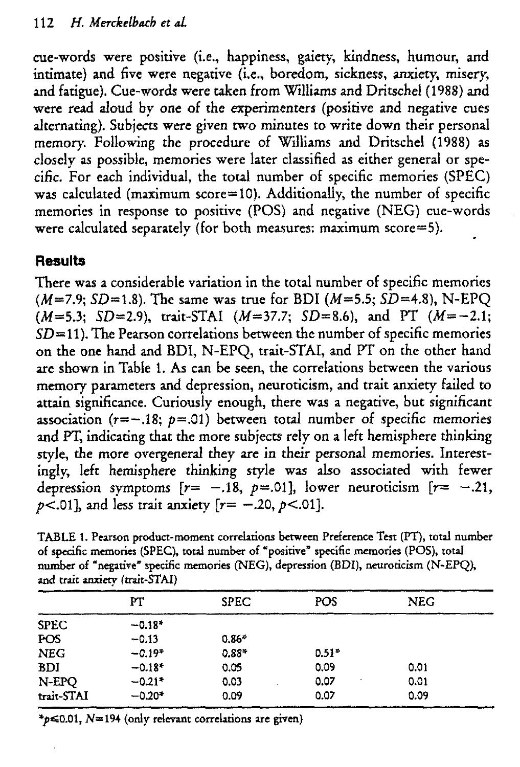cue-words were positive (i.e., happiness, gaiety, kindness, humour, and intimate) and five were negative (i.e., boredom, sickness, anxiety, misery, and fatigue). Cue-words were taken from Williams and Dritschel (1988) and were read aloud by one of the experimenters (positive and negative cues alternating). Subjects were given two minutes to write down their personal memory. Following the procedure of Williams and Dritschel (1988) as closely as possible, memories were later classified as either general or specific. For each individual, the total number of specific memories (SPEC) was calculated (maximum score=10). Additionally, the number of specific memories in response to positive (POS) and negative (NEG) cue-words were calculated separately (for both measures: maximum score=5).

### Results

There was a considerable variation in the total number of specific memories  $(M=7.9; SD=1.8)$ . The same was true for BDI ( $M=5.5; SD=4.8$ ), N-EPQ  $(M=5.3; SD=2.9)$ , trait-STAI  $(M=37.7; SD=8.6)$ , and PT  $(M=-2.1;$  $SD = 11$ ). The Pearson correlations between the number of specific memories on the one hand and BDI, N-EPQ, trait-STAI, and PT on the other hand are shown in Table 1. As can be seen, the correlations between the various memory parameters and depression, neuroticism, and trait anxiety failed to attain significance. Curiously enough, there was a negative, but significant<br>association  $(r = -.18; p = .01)$  between total number of specific memories and PT, indicating that the more subjects rely on a left hemisphere thinking style, the more overgeneral they are in their personal memories. Interestingly, left hemisphere thinking style was also associated with fewer depression symptoms  $[r=-.18, p=.01]$ , lower neuroticism  $[r=-.21,$  $p<.01$ ], and less trait anxiety  $[r=-.20, p<.01]$ .

TABLE 1. Pearson product-moment correlations between Preference Test (PT), total number of specific memories (SPEC), total number of "positive" specific memories (POS), total number of "negative" specific memories (NEG), depression (BDI), neuroticism (N-EPQ), and trait anxiety (trait-STAI)

|             | PΤ       | <b>SPEC</b> | POS     | <b>NEG</b> |
|-------------|----------|-------------|---------|------------|
| <b>SPEC</b> | $-0.18*$ |             |         |            |
| POS         | $-0.13$  | $0.86*$     |         |            |
| <b>NEG</b>  | $-0.19*$ | $0.88*$     | $0.51*$ |            |
| <b>BDI</b>  | $-0.18*$ | 0.05        | 0.09    | 0.01       |
| N-EPQ       | $-0.21*$ | 0.03        | 0.07    | 0.01       |
| trait-STAI  | $-0.20*$ | 0.09        | 0.07    | 0.09       |

\*p $\leq 0.01$ , N=194 (only relevant correlations are given)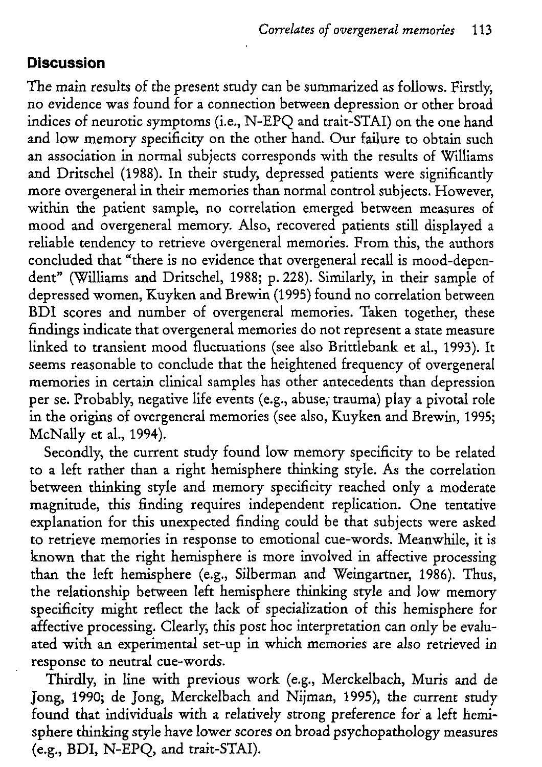#### **Discussion**

The main results of the present study can be summarized as follows. Firstly, no evidence was found for a connection between depression or other broad indices of neurotic symptoms (i.e., N-EPQ and trait-STAI) on the one hand and low memory specificity on the other hand. Our failure to obtain such an association in normal subjects corresponds with the results of Williams and Dritschel (1988). In their study, depressed patients were significantly more overgeneral in their memories than normal control subjects. However, within the patient sample, no correlation emerged between measures of mood and overgeneral memory. Also, recovered patients still displayed a reliable tendency to retrieve overgeneral memories. From this, the authors concluded that "there is no evidence that overgeneral recall is mood-dependent" (Williams and Dritschel, 1988; p. 228). Similarly, in their sample of depressed women, Kuyken and Brewin (1995) found no correlation between BDI scores and number of overgeneral memories. Taken together, these findings indicate that overgeneral memories do not represent a state measure linked to transient mood fluctuations (see also Brittlebank et al., 1993). It seems reasonable to conclude that the heightened frequency of overgeneral memories in certain clinical samples has other antecedents than depression per se. Probably, negative life events (e.g., abuse, trauma) play a pivotal role in the origins of overgeneral memories (see also, Kuyken and Brewin, 1995; McNally et al., 1994).

Secondly, the current study found low memory specificity to be related to a left rather than a right hemisphere thinking style. As the correlation between thinking style and memory specificity reached only a moderate magnitude, this finding requires independent replication. One tentative explanation for this unexpected finding could be that subjects were asked to retrieve memories in response to emotional cue-words. Meanwhile, it is known that the right hemisphere is more involved in affective processing than the left hemisphere (e.g., Silberman and Weingartner, 1986). Thus, the relationship between left hemisphere thinking style and low memory specificity might reflect the lack of specialization of this hemisphere for affective processing. Clearly, this post hoc interpretation can only be evaluated with an experimental set-up in which memories are also retrieved in response to neutral cue-words.

Thirdly, in line with previous work (e.g., Merckelbach, Muris and de Jong, 1990; de Jong, Merckelbach and Nijman, 1995), the current study found that individuals with a relatively strong preference for a left hemisphere thinking style have lower scores on broad psychopathology measures (e.g., BDI, N-EPQ, and trait-STAI).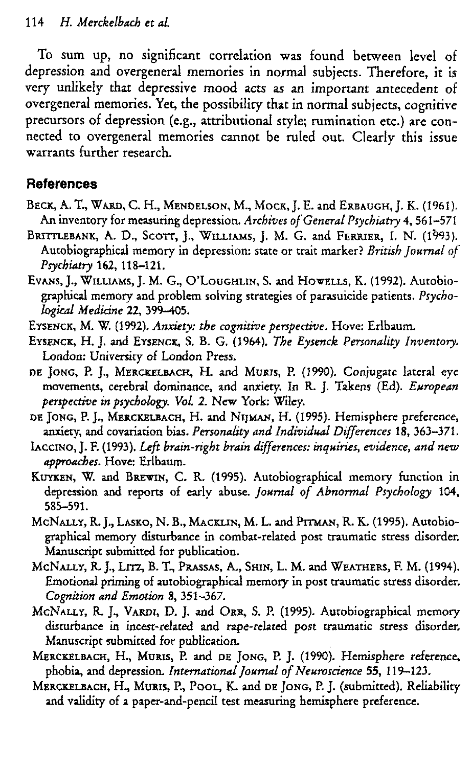To sum up, no significant correlation was found between level of depression and overgeneral memories in normal subjects. Therefore, it is very unlikely that depressive mood acts as an important antecedent of overgeneral memories. Yet, the possibility that in normal subjects, cognitive precursors of depression (e.g., attributional style; rumination etc.) are connected to overgeneral memories cannot be ruled out. Clearly this issue warrants further research.

#### **References**

- BECK, A. T., WARD, C. H., MENDELSON, M., MOCK, J. E. and ERBAUGH, J. K. (1961). An inventory for measuring depression. Archives of General Psychiatry 4, 561-571
- BRITTLEBANK, A. D., SCOTT, J., WILLIAMS, J. M. G. and FERRIER, I. N. (1993). Autobiographical memory in depression: state or trait marker? British Journal of Psychiatry 162, 118-121.
- EVANS, J., WILLIAMS, J. M. G., O'LOUGHLIN, S. and HOWELLS, K. (1992). Autobiographical memory and problem solving strategies of parasuicide patients. Psychological Medicine 22, 399-405.
- EYSENCK, M. W. (1992). Anxiety: the cognitive perspective. Hove: Erlbaum.
- EYSENCK, H. J. and EYSENCK, S. B. G. (1964). The Eysenck Personality Inventory. London: University of London Press.
- DE JONG, P. J., MERCKELBACH, H. and MURIS, P. (1990). Conjugate lateral eye movements, cerebral dominance, and anxiety. In R. J. Takens (Ed). European perspective in psychology. Vol. 2. New York: Wiley.
- DE JONG, P. J., MERCKELBACH, H. and NIJMAN, H. (1995). Hemisphere preference, anxiety, and covariation bias. Personality and Individual Differences 18, 363-371.
- IACCINO, J. F. (1993). Left brain-right brain differences: inquiries, evidence, and new approaches. Hove: Erlbaum.
- KUYKEN, W. and BREWIN, C. R. (1995). Autobiographical memory function in depression and reports of early abuse. Journal of Abnormal Psychology 104, 585-591.
- MCNALLY, R. J., LASKO, N. B., MACKLIN, M. L. and PITMAN, R. K. (1995). Autobiographical memory disturbance in combat-related post traumatic stress disorder. Manuscript submitted for publication.
- MCNALLY, R. J., LITZ, B. T., PRASSAS, A., SHIN, L. M. and WEATHERS, F. M. (1994). Emotional priming of autobiographical memory in post traumatic stress disorder. Cognition and Emotion 8, 351-367.
- MCNALLY, R. J., VARDI, D. J. and ORR, S. P. (1995). Autobiographical memory disturbance in incest-related and rape-related post traumatic stress disorder. Manuscript submitted for publication.
- MERCKELBACH, H., MURIS, P. and DE JONG, P. J. (1990). Hemisphere reference, phobia, and depression. International Journal of Neuroscience 55, 119-123.
- MERCKELBACH, H., MURIS, P., POOL, K. and DE JONG, P. J. (submitted). Reliability and validity of a paper-and-pencil test measuring hemisphere preference.